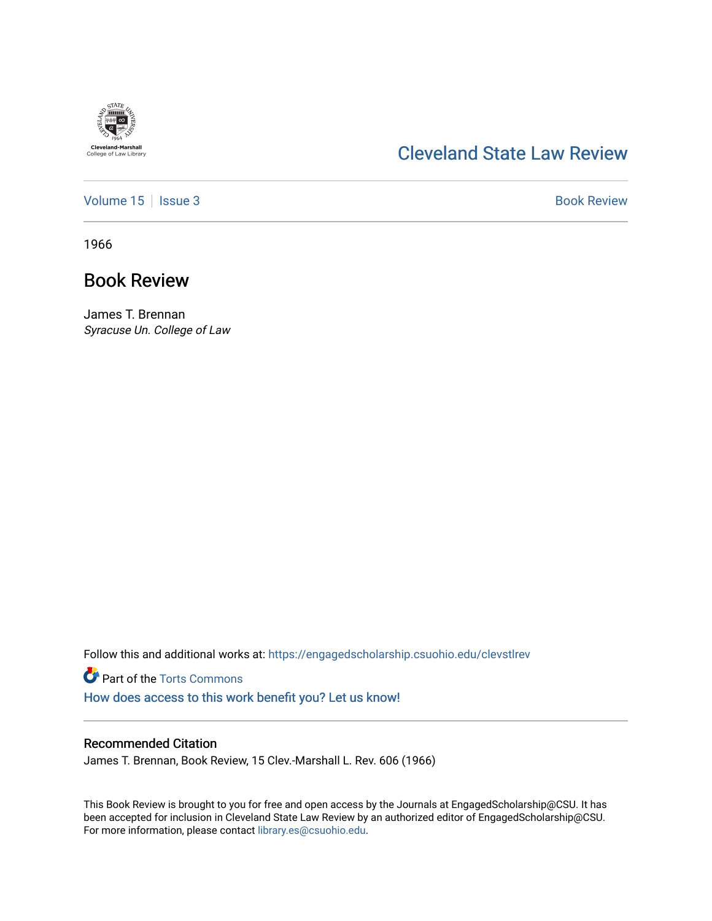

# [Cleveland State Law Review](https://engagedscholarship.csuohio.edu/clevstlrev)

[Volume 15](https://engagedscholarship.csuohio.edu/clevstlrev/vol15) | [Issue 3](https://engagedscholarship.csuohio.edu/clevstlrev/vol15/iss3) Book Review

1966

## Book Review

James T. Brennan Syracuse Un. College of Law

Follow this and additional works at: [https://engagedscholarship.csuohio.edu/clevstlrev](https://engagedscholarship.csuohio.edu/clevstlrev?utm_source=engagedscholarship.csuohio.edu%2Fclevstlrev%2Fvol15%2Fiss3%2F18&utm_medium=PDF&utm_campaign=PDFCoverPages)

**P** Part of the [Torts Commons](http://network.bepress.com/hgg/discipline/913?utm_source=engagedscholarship.csuohio.edu%2Fclevstlrev%2Fvol15%2Fiss3%2F18&utm_medium=PDF&utm_campaign=PDFCoverPages) [How does access to this work benefit you? Let us know!](http://library.csuohio.edu/engaged/)

#### Recommended Citation

James T. Brennan, Book Review, 15 Clev.-Marshall L. Rev. 606 (1966)

This Book Review is brought to you for free and open access by the Journals at EngagedScholarship@CSU. It has been accepted for inclusion in Cleveland State Law Review by an authorized editor of EngagedScholarship@CSU. For more information, please contact [library.es@csuohio.edu.](mailto:library.es@csuohio.edu)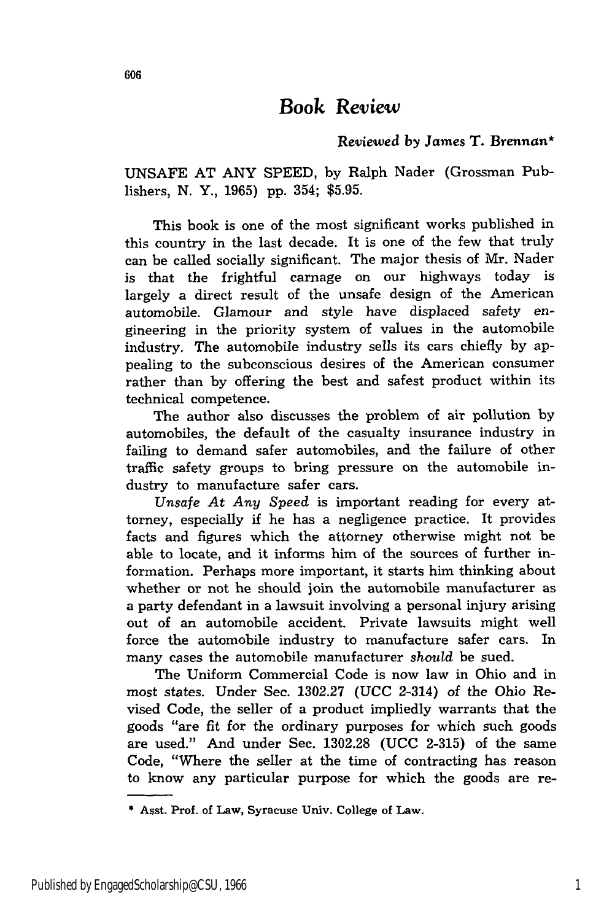### Book *Review*

#### Reviewed *by* James T. Brennan\*

UNSAFE **AT** ANY SPEED, **by** Ralph Nader (Grossman Publishers, N. Y., 1965) pp. 354; \$5.95.

This book is one of the most significant works published in this country in the last decade. It is one of the few that truly can be called socially significant. The major thesis of Mr. Nader is that the frightful carnage on our highways today is largely a direct result of the unsafe design of the American automobile. Glamour and style have displaced safety engineering in the priority system of values in the automobile industry. The automobile industry sells its cars chiefly by appealing to the subconscious desires of the American consumer rather than by offering the best and safest product within its technical competence.

The author also discusses the problem of air pollution by automobiles, the default of the casualty insurance industry in failing to demand safer automobiles, and the failure of other traffic safety groups to bring pressure on the automobile industry to manufacture safer cars.

*Unsafe At* Any *Speed* is important reading for every attorney, especially if he has a negligence practice. It provides facts and figures which the attorney otherwise might not be able to locate, and it informs him of the sources of further information. Perhaps more important, it starts him thinking about whether or not he should join the automobile manufacturer as a party defendant in a lawsuit involving a personal injury arising out of an automobile accident. Private lawsuits might well force the automobile industry to manufacture safer cars. In many cases the automobile manufacturer *should* be sued.

The Uniform Commercial Code is now law in Ohio and in most states. Under Sec. 1302.27 (UCC 2-314) of the Ohio Revised Code, the seller of a product impliedly warrants that the goods "are fit for the ordinary purposes for which such goods are used." And under Sec. 1302.28 (UCC 2-315) of the same Code, "Where the seller at the time of contracting has reason to know any particular purpose for which the goods are re-

<sup>\*</sup> Asst. Prof. of Law, Syracuse **Univ.** College of Law.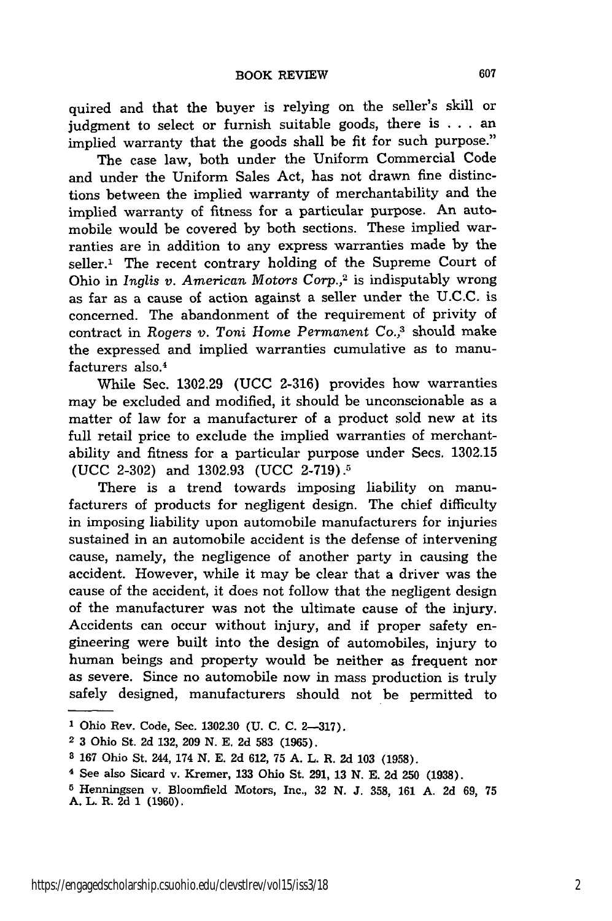quired and that the buyer is relying on the seller's skill or judgment to select or furnish suitable goods, there is . . . an implied warranty that the goods shall be fit for such purpose."

The case law, both under the Uniform Commercial Code and under the Uniform Sales Act, has not drawn fine distinctions between the implied warranty of merchantability and the implied warranty of fitness for a particular purpose. An automobile would be covered by both sections. These implied warranties are in addition to any express warranties made by the seller.<sup>1</sup> The recent contrary holding of the Supreme Court of Ohio in *Inglis v. American Motors Corp.*,<sup>2</sup> is indisputably wrong as far as a cause of action against a seller under the U.C.C. is concerned. The abandonment of the requirement of privity of contract in Rogers *v.* Toni Home *Permanent Co.,3* should make the expressed and implied warranties cumulative as to manufacturers also.<sup>4</sup>

While Sec. 1302.29 (UCC 2-316) provides how warranties may be excluded and modified, it should be unconscionable as a matter of law for a manufacturer of a product sold new at its full retail price to exclude the implied warranties of merchantability and fitness for a particular purpose under Secs. 1302.15 (UCC 2-302) and 1302.93 (UCC 2-719).5

There is a trend towards imposing liability on manufacturers of products for negligent design. The chief difficulty in imposing liability upon automobile manufacturers for injuries sustained in an automobile accident is the defense of intervening cause, namely, the negligence of another party in causing the accident. However, while it may be clear that a driver was the cause of the accident, it does not follow that the negligent design of the manufacturer was not the ultimate cause of the injury. Accidents can occur without injury, and if proper safety engineering were built into the design of automobiles, injury to human beings and property would be neither as frequent nor as severe. Since no automobile now in mass production is truly safely designed, manufacturers should not be permitted to

**<sup>1</sup>** Ohio Rev. Code, Sec. **1302.30 (U. C. C. 2-317).**

**<sup>2</sup>** 3 Ohio St. 2d 132, 209 N. E. 2d **583** (1965).

**<sup>8</sup>** 167 Ohio St. 244, 174 N. E. 2d 612, 75 A. L. R. 2d **103** (1958).

<sup>4</sup> See also Sicard v. Kremer, **133** Ohio St. 291, 13 **N.** E. 2d **250** (1938).

**<sup>5</sup>** Henningsen v. Bloomfield Motors, Inc., 32 **N.** J. 358, **161** A. 2d 69, 75 A. L. R. 2d 1 (1960).